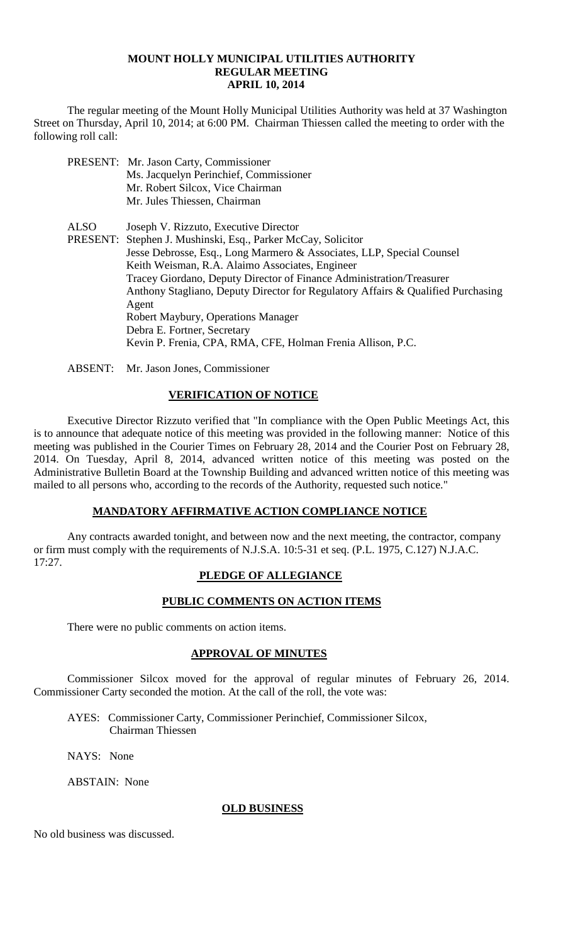#### **MOUNT HOLLY MUNICIPAL UTILITIES AUTHORITY REGULAR MEETING APRIL 10, 2014**

The regular meeting of the Mount Holly Municipal Utilities Authority was held at 37 Washington Street on Thursday, April 10, 2014; at 6:00 PM. Chairman Thiessen called the meeting to order with the following roll call:

- PRESENT: Mr. Jason Carty, Commissioner Ms. Jacquelyn Perinchief, Commissioner Mr. Robert Silcox, Vice Chairman Mr. Jules Thiessen, Chairman
- ALSO Joseph V. Rizzuto, Executive Director PRESENT: Stephen J. Mushinski, Esq., Parker McCay, Solicitor Jesse Debrosse, Esq., Long Marmero & Associates, LLP, Special Counsel Keith Weisman, R.A. Alaimo Associates, Engineer Tracey Giordano, Deputy Director of Finance Administration/Treasurer Anthony Stagliano, Deputy Director for Regulatory Affairs & Qualified Purchasing Agent Robert Maybury, Operations Manager Debra E. Fortner, Secretary Kevin P. Frenia, CPA, RMA, CFE, Holman Frenia Allison, P.C.
- ABSENT: Mr. Jason Jones, Commissioner

# **VERIFICATION OF NOTICE**

Executive Director Rizzuto verified that "In compliance with the Open Public Meetings Act, this is to announce that adequate notice of this meeting was provided in the following manner: Notice of this meeting was published in the Courier Times on February 28, 2014 and the Courier Post on February 28, 2014. On Tuesday, April 8, 2014, advanced written notice of this meeting was posted on the Administrative Bulletin Board at the Township Building and advanced written notice of this meeting was mailed to all persons who, according to the records of the Authority, requested such notice."

## **MANDATORY AFFIRMATIVE ACTION COMPLIANCE NOTICE**

Any contracts awarded tonight, and between now and the next meeting, the contractor, company or firm must comply with the requirements of N.J.S.A. 10:5-31 et seq. (P.L. 1975, C.127) N.J.A.C. 17:27.

# **PLEDGE OF ALLEGIANCE**

# **PUBLIC COMMENTS ON ACTION ITEMS**

There were no public comments on action items.

## **APPROVAL OF MINUTES**

Commissioner Silcox moved for the approval of regular minutes of February 26, 2014. Commissioner Carty seconded the motion. At the call of the roll, the vote was:

AYES: Commissioner Carty, Commissioner Perinchief, Commissioner Silcox, Chairman Thiessen

NAYS: None

ABSTAIN: None

## **OLD BUSINESS**

No old business was discussed.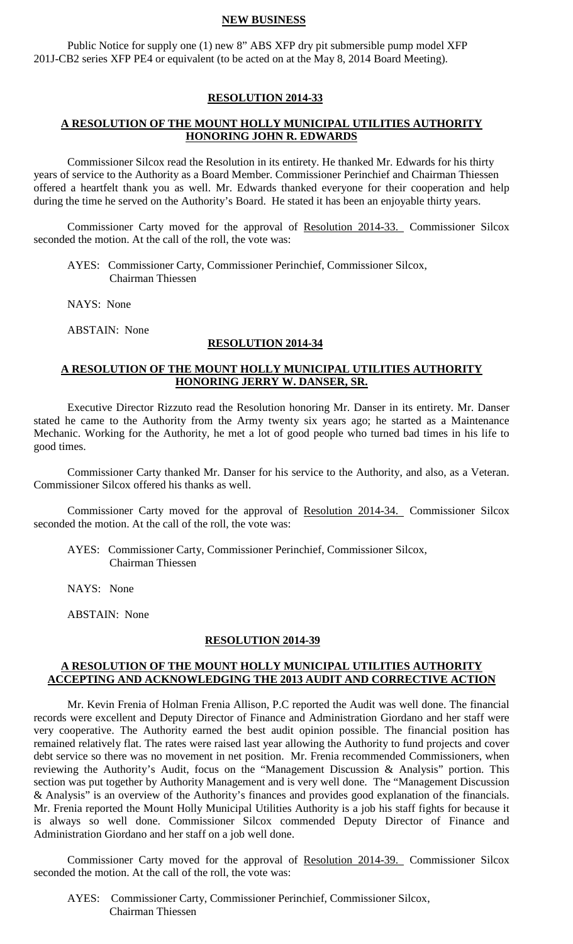#### **NEW BUSINESS**

Public Notice for supply one (1) new 8" ABS XFP dry pit submersible pump model XFP 201J-CB2 series XFP PE4 or equivalent (to be acted on at the May 8, 2014 Board Meeting).

#### **RESOLUTION 2014-33**

#### **A RESOLUTION OF THE MOUNT HOLLY MUNICIPAL UTILITIES AUTHORITY HONORING JOHN R. EDWARDS**

Commissioner Silcox read the Resolution in its entirety. He thanked Mr. Edwards for his thirty years of service to the Authority as a Board Member. Commissioner Perinchief and Chairman Thiessen offered a heartfelt thank you as well. Mr. Edwards thanked everyone for their cooperation and help during the time he served on the Authority's Board. He stated it has been an enjoyable thirty years.

Commissioner Carty moved for the approval of Resolution 2014-33. Commissioner Silcox seconded the motion. At the call of the roll, the vote was:

 AYES: Commissioner Carty, Commissioner Perinchief, Commissioner Silcox, Chairman Thiessen

NAYS: None

ABSTAIN: None

## **RESOLUTION 2014-34**

#### **A RESOLUTION OF THE MOUNT HOLLY MUNICIPAL UTILITIES AUTHORITY HONORING JERRY W. DANSER, SR.**

Executive Director Rizzuto read the Resolution honoring Mr. Danser in its entirety. Mr. Danser stated he came to the Authority from the Army twenty six years ago; he started as a Maintenance Mechanic. Working for the Authority, he met a lot of good people who turned bad times in his life to good times.

Commissioner Carty thanked Mr. Danser for his service to the Authority, and also, as a Veteran. Commissioner Silcox offered his thanks as well.

Commissioner Carty moved for the approval of Resolution 2014-34. Commissioner Silcox seconded the motion. At the call of the roll, the vote was:

 AYES: Commissioner Carty, Commissioner Perinchief, Commissioner Silcox, Chairman Thiessen

NAYS: None

ABSTAIN: None

#### **RESOLUTION 2014-39**

#### **A RESOLUTION OF THE MOUNT HOLLY MUNICIPAL UTILITIES AUTHORITY ACCEPTING AND ACKNOWLEDGING THE 2013 AUDIT AND CORRECTIVE ACTION**

Mr. Kevin Frenia of Holman Frenia Allison, P.C reported the Audit was well done. The financial records were excellent and Deputy Director of Finance and Administration Giordano and her staff were very cooperative. The Authority earned the best audit opinion possible. The financial position has remained relatively flat. The rates were raised last year allowing the Authority to fund projects and cover debt service so there was no movement in net position. Mr. Frenia recommended Commissioners, when reviewing the Authority's Audit, focus on the "Management Discussion & Analysis" portion. This section was put together by Authority Management and is very well done. The "Management Discussion & Analysis" is an overview of the Authority's finances and provides good explanation of the financials. Mr. Frenia reported the Mount Holly Municipal Utilities Authority is a job his staff fights for because it is always so well done. Commissioner Silcox commended Deputy Director of Finance and Administration Giordano and her staff on a job well done.

Commissioner Carty moved for the approval of Resolution 2014-39. Commissioner Silcox seconded the motion. At the call of the roll, the vote was:

 AYES: Commissioner Carty, Commissioner Perinchief, Commissioner Silcox, Chairman Thiessen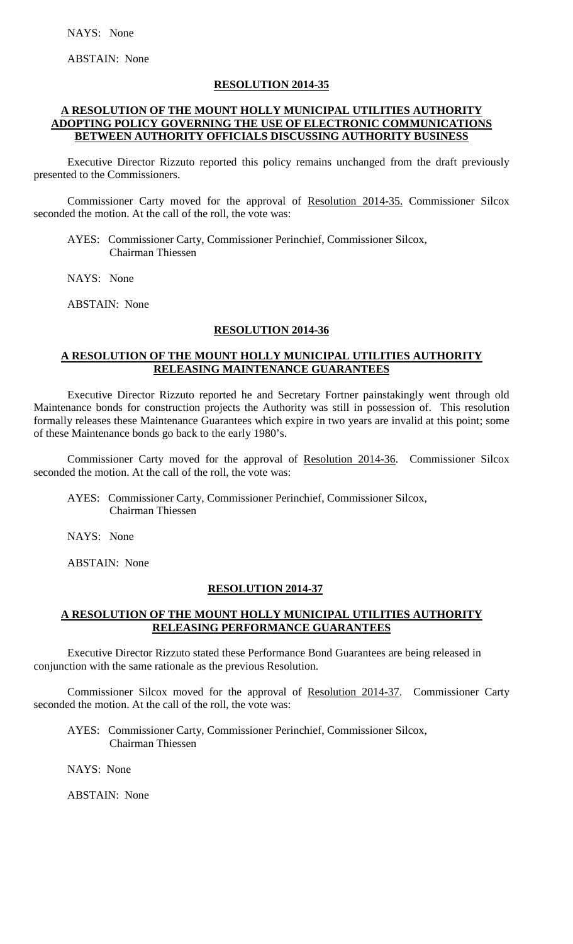ABSTAIN: None

## **RESOLUTION 2014-35**

# **A RESOLUTION OF THE MOUNT HOLLY MUNICIPAL UTILITIES AUTHORITY ADOPTING POLICY GOVERNING THE USE OF ELECTRONIC COMMUNICATIONS BETWEEN AUTHORITY OFFICIALS DISCUSSING AUTHORITY BUSINESS**

Executive Director Rizzuto reported this policy remains unchanged from the draft previously presented to the Commissioners.

Commissioner Carty moved for the approval of Resolution 2014-35. Commissioner Silcox seconded the motion. At the call of the roll, the vote was:

 AYES: Commissioner Carty, Commissioner Perinchief, Commissioner Silcox, Chairman Thiessen

NAYS: None

ABSTAIN: None

#### **RESOLUTION 2014-36**

# **A RESOLUTION OF THE MOUNT HOLLY MUNICIPAL UTILITIES AUTHORITY RELEASING MAINTENANCE GUARANTEES**

Executive Director Rizzuto reported he and Secretary Fortner painstakingly went through old Maintenance bonds for construction projects the Authority was still in possession of. This resolution formally releases these Maintenance Guarantees which expire in two years are invalid at this point; some of these Maintenance bonds go back to the early 1980's.

Commissioner Carty moved for the approval of Resolution 2014-36. Commissioner Silcox seconded the motion. At the call of the roll, the vote was:

 AYES: Commissioner Carty, Commissioner Perinchief, Commissioner Silcox, Chairman Thiessen

NAYS: None

ABSTAIN: None

## **RESOLUTION 2014-37**

# **A RESOLUTION OF THE MOUNT HOLLY MUNICIPAL UTILITIES AUTHORITY RELEASING PERFORMANCE GUARANTEES**

Executive Director Rizzuto stated these Performance Bond Guarantees are being released in conjunction with the same rationale as the previous Resolution.

Commissioner Silcox moved for the approval of Resolution 2014-37. Commissioner Carty seconded the motion. At the call of the roll, the vote was:

 AYES: Commissioner Carty, Commissioner Perinchief, Commissioner Silcox, Chairman Thiessen

NAYS: None

ABSTAIN: None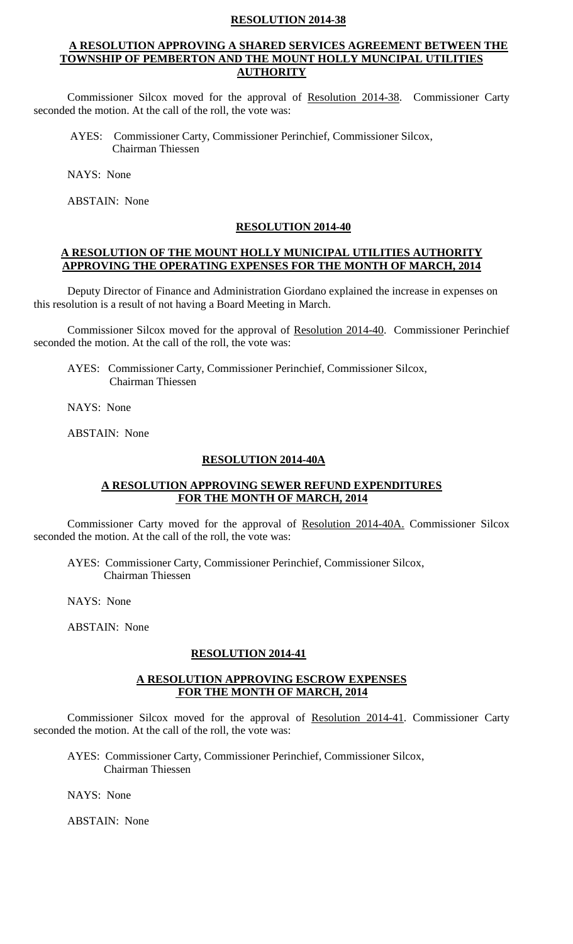#### **RESOLUTION 2014-38**

#### **A RESOLUTION APPROVING A SHARED SERVICES AGREEMENT BETWEEN THE TOWNSHIP OF PEMBERTON AND THE MOUNT HOLLY MUNCIPAL UTILITIES AUTHORITY**

Commissioner Silcox moved for the approval of Resolution 2014-38. Commissioner Carty seconded the motion. At the call of the roll, the vote was:

AYES: Commissioner Carty, Commissioner Perinchief, Commissioner Silcox, Chairman Thiessen

NAYS: None

ABSTAIN: None

#### **RESOLUTION 2014-40**

#### **A RESOLUTION OF THE MOUNT HOLLY MUNICIPAL UTILITIES AUTHORITY APPROVING THE OPERATING EXPENSES FOR THE MONTH OF MARCH, 2014**

Deputy Director of Finance and Administration Giordano explained the increase in expenses on this resolution is a result of not having a Board Meeting in March.

Commissioner Silcox moved for the approval of Resolution 2014-40. Commissioner Perinchief seconded the motion. At the call of the roll, the vote was:

 AYES: Commissioner Carty, Commissioner Perinchief, Commissioner Silcox, Chairman Thiessen

NAYS: None

ABSTAIN: None

#### **RESOLUTION 2014-40A**

## **A RESOLUTION APPROVING SEWER REFUND EXPENDITURES FOR THE MONTH OF MARCH, 2014**

Commissioner Carty moved for the approval of Resolution 2014-40A. Commissioner Silcox seconded the motion. At the call of the roll, the vote was:

AYES: Commissioner Carty, Commissioner Perinchief, Commissioner Silcox, Chairman Thiessen

NAYS: None

ABSTAIN: None

#### **RESOLUTION 2014-41**

## **A RESOLUTION APPROVING ESCROW EXPENSES FOR THE MONTH OF MARCH, 2014**

Commissioner Silcox moved for the approval of Resolution 2014-41. Commissioner Carty seconded the motion. At the call of the roll, the vote was:

AYES: Commissioner Carty, Commissioner Perinchief, Commissioner Silcox, Chairman Thiessen

NAYS: None

ABSTAIN: None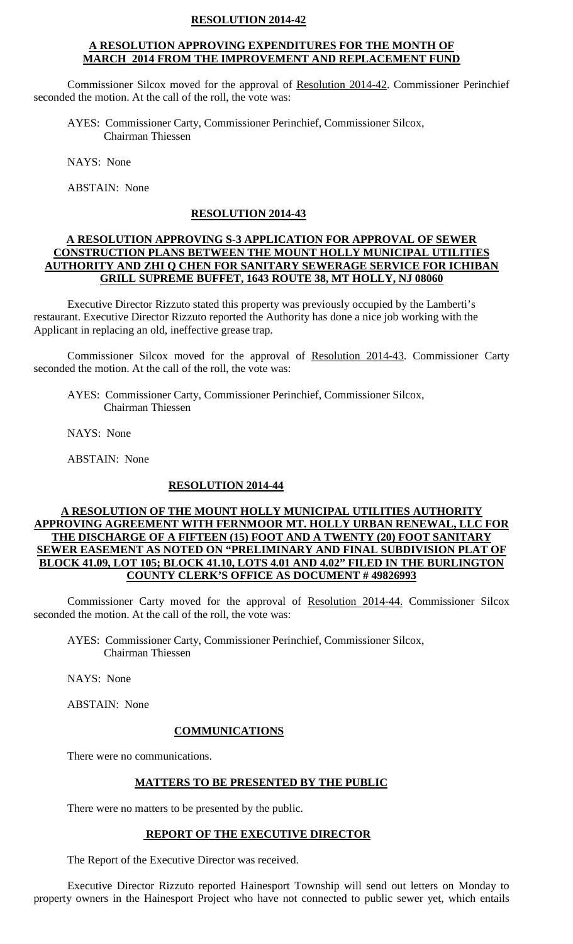#### **RESOLUTION 2014-42**

## **A RESOLUTION APPROVING EXPENDITURES FOR THE MONTH OF MARCH 2014 FROM THE IMPROVEMENT AND REPLACEMENT FUND**

Commissioner Silcox moved for the approval of Resolution 2014-42. Commissioner Perinchief seconded the motion. At the call of the roll, the vote was:

AYES: Commissioner Carty, Commissioner Perinchief, Commissioner Silcox, Chairman Thiessen

NAYS: None

ABSTAIN: None

#### **RESOLUTION 2014-43**

### **A RESOLUTION APPROVING S-3 APPLICATION FOR APPROVAL OF SEWER CONSTRUCTION PLANS BETWEEN THE MOUNT HOLLY MUNICIPAL UTILITIES AUTHORITY AND ZHI Q CHEN FOR SANITARY SEWERAGE SERVICE FOR ICHIBAN GRILL SUPREME BUFFET, 1643 ROUTE 38, MT HOLLY, NJ 08060**

Executive Director Rizzuto stated this property was previously occupied by the Lamberti's restaurant. Executive Director Rizzuto reported the Authority has done a nice job working with the Applicant in replacing an old, ineffective grease trap.

Commissioner Silcox moved for the approval of Resolution 2014-43. Commissioner Carty seconded the motion. At the call of the roll, the vote was:

AYES: Commissioner Carty, Commissioner Perinchief, Commissioner Silcox, Chairman Thiessen

NAYS: None

ABSTAIN: None

#### **RESOLUTION 2014-44**

## **A RESOLUTION OF THE MOUNT HOLLY MUNICIPAL UTILITIES AUTHORITY APPROVING AGREEMENT WITH FERNMOOR MT. HOLLY URBAN RENEWAL, LLC FOR THE DISCHARGE OF A FIFTEEN (15) FOOT AND A TWENTY (20) FOOT SANITARY SEWER EASEMENT AS NOTED ON "PRELIMINARY AND FINAL SUBDIVISION PLAT OF BLOCK 41.09, LOT 105; BLOCK 41.10, LOTS 4.01 AND 4.02" FILED IN THE BURLINGTON COUNTY CLERK'S OFFICE AS DOCUMENT # 49826993**

Commissioner Carty moved for the approval of Resolution 2014-44. Commissioner Silcox seconded the motion. At the call of the roll, the vote was:

AYES: Commissioner Carty, Commissioner Perinchief, Commissioner Silcox, Chairman Thiessen

NAYS: None

ABSTAIN: None

#### **COMMUNICATIONS**

There were no communications.

## **MATTERS TO BE PRESENTED BY THE PUBLIC**

There were no matters to be presented by the public.

#### **REPORT OF THE EXECUTIVE DIRECTOR**

The Report of the Executive Director was received.

Executive Director Rizzuto reported Hainesport Township will send out letters on Monday to property owners in the Hainesport Project who have not connected to public sewer yet, which entails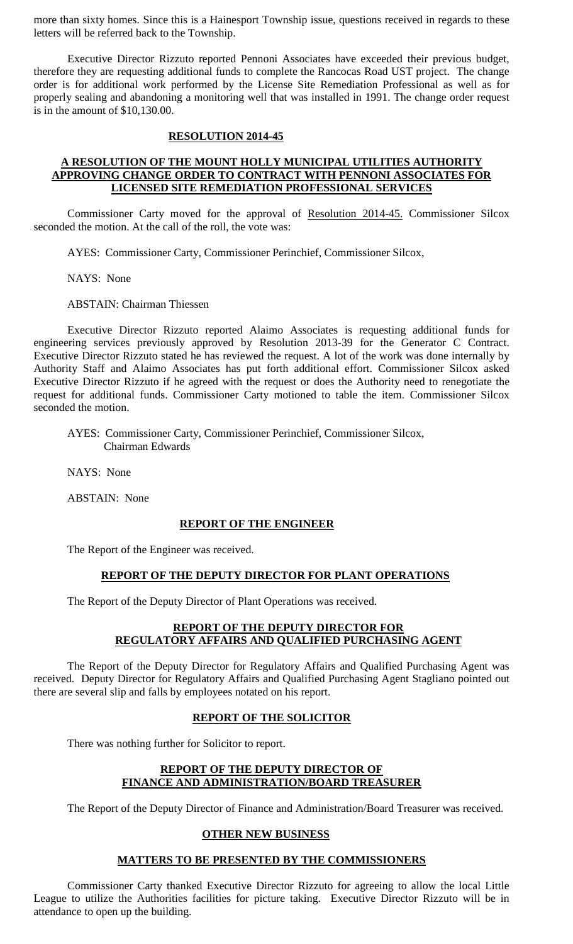more than sixty homes. Since this is a Hainesport Township issue, questions received in regards to these letters will be referred back to the Township.

Executive Director Rizzuto reported Pennoni Associates have exceeded their previous budget, therefore they are requesting additional funds to complete the Rancocas Road UST project. The change order is for additional work performed by the License Site Remediation Professional as well as for properly sealing and abandoning a monitoring well that was installed in 1991. The change order request is in the amount of \$10,130.00.

#### **RESOLUTION 2014-45**

# **A RESOLUTION OF THE MOUNT HOLLY MUNICIPAL UTILITIES AUTHORITY APPROVING CHANGE ORDER TO CONTRACT WITH PENNONI ASSOCIATES FOR LICENSED SITE REMEDIATION PROFESSIONAL SERVICES**

Commissioner Carty moved for the approval of Resolution 2014-45. Commissioner Silcox seconded the motion. At the call of the roll, the vote was:

AYES: Commissioner Carty, Commissioner Perinchief, Commissioner Silcox,

NAYS: None

ABSTAIN: Chairman Thiessen

Executive Director Rizzuto reported Alaimo Associates is requesting additional funds for engineering services previously approved by Resolution 2013-39 for the Generator C Contract. Executive Director Rizzuto stated he has reviewed the request. A lot of the work was done internally by Authority Staff and Alaimo Associates has put forth additional effort. Commissioner Silcox asked Executive Director Rizzuto if he agreed with the request or does the Authority need to renegotiate the request for additional funds. Commissioner Carty motioned to table the item. Commissioner Silcox seconded the motion.

AYES: Commissioner Carty, Commissioner Perinchief, Commissioner Silcox, Chairman Edwards

NAYS: None

ABSTAIN: None

## **REPORT OF THE ENGINEER**

The Report of the Engineer was received.

## **REPORT OF THE DEPUTY DIRECTOR FOR PLANT OPERATIONS**

The Report of the Deputy Director of Plant Operations was received.

## **REPORT OF THE DEPUTY DIRECTOR FOR REGULATORY AFFAIRS AND QUALIFIED PURCHASING AGENT**

The Report of the Deputy Director for Regulatory Affairs and Qualified Purchasing Agent was received. Deputy Director for Regulatory Affairs and Qualified Purchasing Agent Stagliano pointed out there are several slip and falls by employees notated on his report.

## **REPORT OF THE SOLICITOR**

There was nothing further for Solicitor to report.

# **REPORT OF THE DEPUTY DIRECTOR OF FINANCE AND ADMINISTRATION/BOARD TREASURER**

The Report of the Deputy Director of Finance and Administration/Board Treasurer was received.

## **OTHER NEW BUSINESS**

## **MATTERS TO BE PRESENTED BY THE COMMISSIONERS**

Commissioner Carty thanked Executive Director Rizzuto for agreeing to allow the local Little League to utilize the Authorities facilities for picture taking. Executive Director Rizzuto will be in attendance to open up the building.